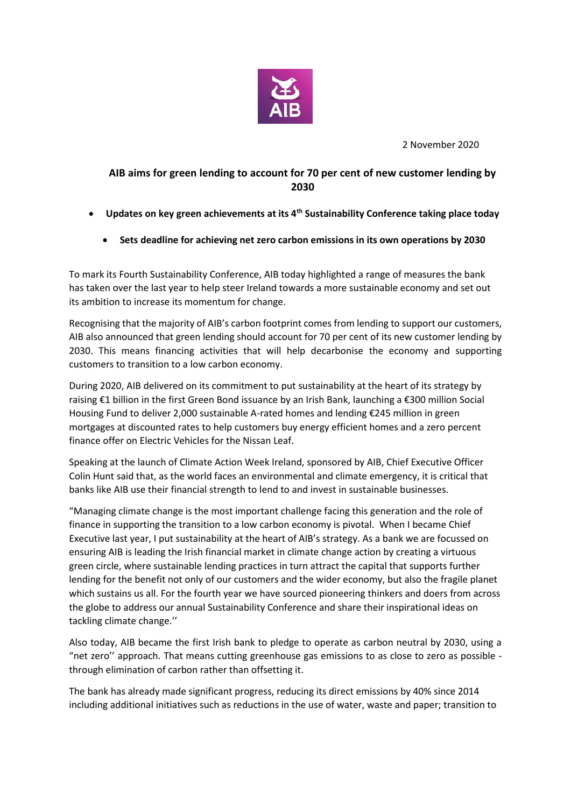

2 November 2020

## **AIB aims for green lending to account for 70 per cent of new customer lending by 2030**

- **Updates on key green achievements at its 4th Sustainability Conference taking place today**
	- **Sets deadline for achieving net zero carbon emissions in its own operations by 2030**

To mark its Fourth Sustainability Conference, AIB today highlighted a range of measures the bank has taken over the last year to help steer Ireland towards a more sustainable economy and set out its ambition to increase its momentum for change.

Recognising that the majority of AIB's carbon footprint comes from lending to support our customers, AIB also announced that green lending should account for 70 per cent of its new customer lending by 2030. This means financing activities that will help decarbonise the economy and supporting customers to transition to a low carbon economy.

During 2020, AIB delivered on its commitment to put sustainability at the heart of its strategy by raising €1 billion in the first Green Bond issuance by an Irish Bank, launching a €300 million Social Housing Fund to deliver 2,000 sustainable A-rated homes and lending €245 million in green mortgages at discounted rates to help customers buy energy efficient homes and a zero percent finance offer on Electric Vehicles for the Nissan Leaf.

Speaking at the launch of Climate Action Week Ireland, sponsored by AIB, Chief Executive Officer Colin Hunt said that, as the world faces an environmental and climate emergency, it is critical that banks like AIB use their financial strength to lend to and invest in sustainable businesses.

"Managing climate change is the most important challenge facing this generation and the role of finance in supporting the transition to a low carbon economy is pivotal. When I became Chief Executive last year, I put sustainability at the heart of AIB's strategy. As a bank we are focussed on ensuring AIB is leading the Irish financial market in climate change action by creating a virtuous green circle, where sustainable lending practices in turn attract the capital that supports further lending for the benefit not only of our customers and the wider economy, but also the fragile planet which sustains us all. For the fourth year we have sourced pioneering thinkers and doers from across the globe to address our annual Sustainability Conference and share their inspirational ideas on tackling climate change.''

Also today, AIB became the first Irish bank to pledge to operate as carbon neutral by 2030, using a "net zero'' approach. That means cutting greenhouse gas emissions to as close to zero as possible through elimination of carbon rather than offsetting it.

The bank has already made significant progress, reducing its direct emissions by 40% since 2014 including additional initiatives such as reductions in the use of water, waste and paper; transition to